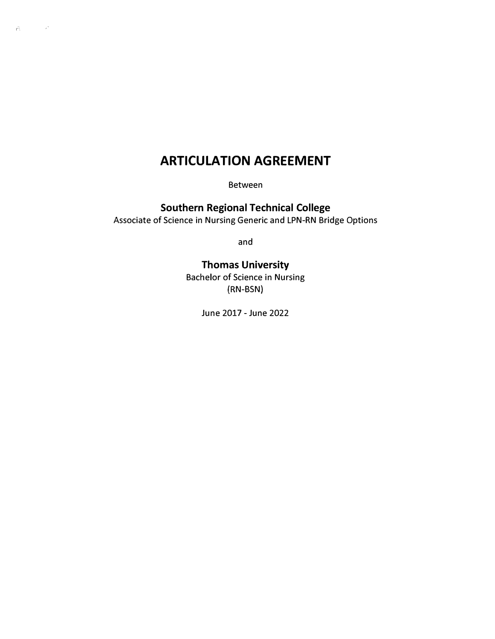# **ARTICULATION AGREEMENT**

 $\mathbf{r}^{\mathbf{c}}_{\mathbf{A}}$  , where  $\mathbf{r}^{\mathbf{a}}$ 

Between

**Southern Regional Technical College**  Associate of Science in Nursing Generic and LPN-RN Bridge Options

and

# **Thomas University**

Bachelor of Science in Nursing **(RN-BSN)** 

June 2017 - June 2022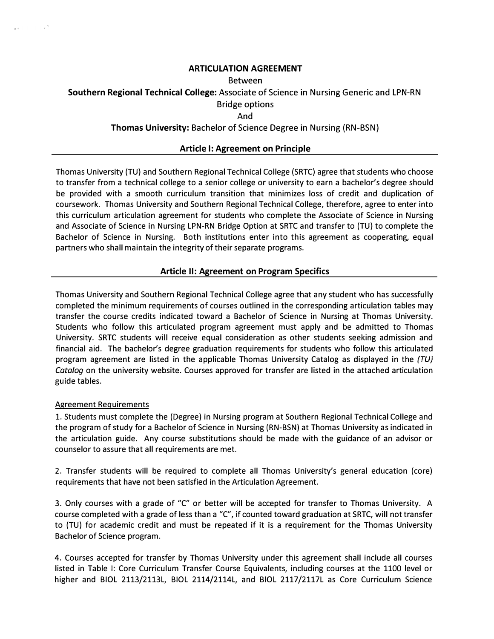## **ARTICULATION AGREEMENT**

#### Between

**Southern Regional Technical College:** Associate of Science in Nursing Generic and LPN-RN

# Bridge options

And

# **Thomas University:** Bachelor of Science Degree in Nursing (RN-BSN)

## **Article I: Agreement on Principle**

Thomas University (TU) and Southern Regional Technical College (SRTC) agree that students who choose to transfer from a technical college to a senior college or university to earn a bachelor's degree should be provided with a smooth curriculum transition that minimizes loss of credit and duplication of coursework. Thomas University and Southern Regional Technical College, therefore, agree to enter into this curriculum articulation agreement for students who complete the Associate of Science in Nursing and Associate of Science in Nursing LPN-RN Bridge Option at SRTC and transfer to (TU) to complete the Bachelor of Science in Nursing. Both institutions enter into this agreement as cooperating, equal partners who shall maintain the integrity of their separate programs.

## **Article II: Agreement on Program Specifics**

Thomas University and Southern Regional Technical College agree that any student who has successfully completed the minimum requirements of courses outlined in the corresponding articulation tables may transfer the course credits indicated toward a Bachelor of Science in Nursing at Thomas University. Students who follow this articulated program agreement must apply and be admitted to Thomas University. SRTC students will receive equal consideration as other students seeking admission and financial aid. The bachelor's degree graduation requirements for students who follow this articulated program agreement are listed in the applicable Thomas University Catalog as displayed in the *(TU) Catalog* on the university website. Courses approved for transfer are listed in the attached articulation guide tables.

#### Agreement Requirements

1. Students must complete the (Degree) in Nursing program at Southern Regional Technical College and the program of study for a Bachelor of Science in Nursing (RN-BSN) at Thomas University as indicated in the articulation guide. Any course substitutions should be made with the guidance of an advisor or counselor to assure that all requirements are met.

2. Transfer students will be required to complete all Thomas University's general education (core) requirements that have not been satisfied in the Articulation Agreement.

3. Only courses with a grade of "C" or better will be accepted for transfer to Thomas University. A course completed with a grade of less than a "C", if counted toward graduation at SRTC, will not transfer to (TU) for academic credit and must be repeated if it is a requirement for the Thomas University Bachelor of Science program.

4. Courses accepted for transfer by Thomas University under this agreement shall include all courses listed in Table I: Core Curriculum Transfer Course Equivalents, including courses at the 1100 level or higher and BIOL 2113/2113L, BIOL 2114/2114L, and BIOL 2117/2117L as Core Curriculum Science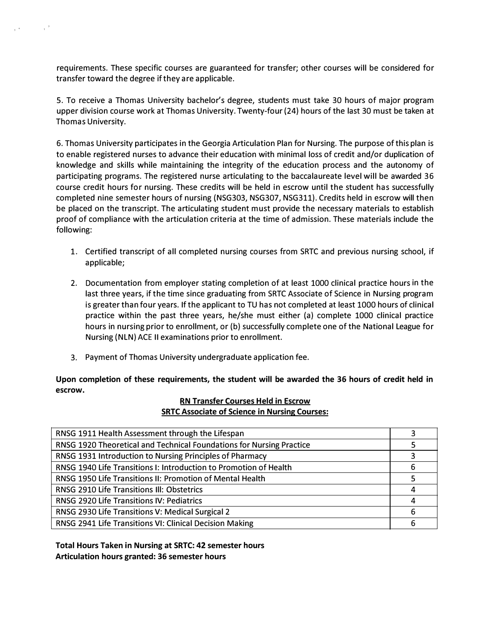requirements. These specific courses are guaranteed for transfer; other courses will be considered for transfer toward the degree if they are applicable.

 $\chi^{\rm (A)}$  and  $\chi^{\rm (B)}$ 

5. To receive a Thomas University bachelor's degree, students must take 30 hours of major program upper division course work at Thomas University. Twenty-four (24) hours of the last 30 must be taken at Thomas University.

6. Thomas University participates in the Georgia Articulation Plan for Nursing. The purpose of this plan is to enable registered nurses to advance their education with minimal loss of credit and/or duplication of knowledge and skills while maintaining the integrity of the education process and the autonomy of participating programs. The registered nurse articulating to the baccalaureate level will be awarded 36 course credit hours for nursing. These credits will be held in escrow until the student has successfully completed nine semester hours of nursing (NSG303, NSG307, NSG311). Credits held in escrow will then be placed on the transcript. The articulating student must provide the necessary materials to establish proof of compliance with the articulation criteria at the time of admission. These materials include the following:

- 1. Certified transcript of all completed nursing courses from SRTC and previous nursing school, if applicable;
- 2. Documentation from employer stating completion of at least 1000 clinical practice hours in the last three years, if the time since graduating from SRTC Associate of Science in Nursing program is greater than four years. If the applicant to TU has not completed at least 1000 hours of clinical practice within the past three years, he/she must either (a) complete 1000 clinical practice hours in nursing prior to enrollment, or (b) successfully complete one of the National League for Nursing (NLN) ACE II examinations prior to enrollment.
- 3. Payment of Thomas University undergraduate application fee.

**Upon completion of these requirements, the student will be awarded the 36 hours of credit held in escrow.** 

#### **RN Transfer Courses Held in Escrow SRTC Associate of Science in Nursing Courses:**

| RNSG 1911 Health Assessment through the Lifespan                     |   |  |  |  |
|----------------------------------------------------------------------|---|--|--|--|
| RNSG 1920 Theoretical and Technical Foundations for Nursing Practice |   |  |  |  |
| RNSG 1931 Introduction to Nursing Principles of Pharmacy             |   |  |  |  |
| RNSG 1940 Life Transitions I: Introduction to Promotion of Health    | 6 |  |  |  |
| RNSG 1950 Life Transitions II: Promotion of Mental Health            |   |  |  |  |
| RNSG 2910 Life Transitions III: Obstetrics                           | 4 |  |  |  |
| RNSG 2920 Life Transitions IV: Pediatrics                            | 4 |  |  |  |
| RNSG 2930 Life Transitions V: Medical Surgical 2                     | 6 |  |  |  |
| RNSG 2941 Life Transitions VI: Clinical Decision Making              | 6 |  |  |  |
|                                                                      |   |  |  |  |

**Total Hours Taken in Nursing at SRTC: 42 semester hours Articulation hours granted: 36 semester hours**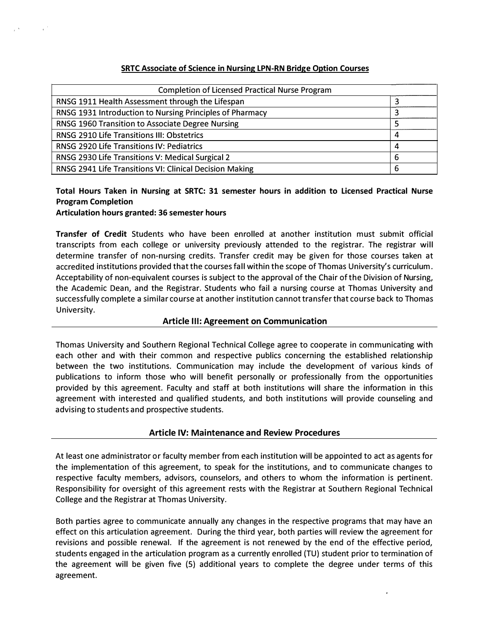#### **SRTC Associate of Science in Nursing LPN-RN Bridge Option Courses**

| <b>Completion of Licensed Practical Nurse Program</b>    |   |  |  |  |
|----------------------------------------------------------|---|--|--|--|
| RNSG 1911 Health Assessment through the Lifespan         |   |  |  |  |
| RNSG 1931 Introduction to Nursing Principles of Pharmacy |   |  |  |  |
| RNSG 1960 Transition to Associate Degree Nursing         |   |  |  |  |
| RNSG 2910 Life Transitions III: Obstetrics               | 4 |  |  |  |
| RNSG 2920 Life Transitions IV: Pediatrics                | 4 |  |  |  |
| RNSG 2930 Life Transitions V: Medical Surgical 2         | 6 |  |  |  |
| RNSG 2941 Life Transitions VI: Clinical Decision Making  | 6 |  |  |  |

# **Total Hours Taken in Nursing at SRTC: 31 semester hours in addition to Licensed Practical Nurse Program Completion**

#### **Articulation hours granted: 36 semester hours**

 $\sim 10^6$ 

**Transfer of Credit** Students who have been enrolled at another institution must submit official transcripts from each college or university previously attended to the registrar. The registrar will determine transfer of non-nursing credits. Transfer credit may be given for those courses taken at accredited institutions provided that the courses fall within the scope of Thomas University's curriculum. Acceptability of non-equivalent courses is subject to the approval of the Chair of the Division of Nursing, the Academic Dean, and the Registrar. Students who fail a nursing course at Thomas University and successfully complete a similar course at another institution cannot transfer that course back to Thomas University.

#### **Article Ill: Agreement on Communication**

Thomas University and Southern Regional Technical College agree to cooperate in communicating with each other and with their common and respective publics concerning the established relationship between the two institutions. Communication may include the development of various kinds of publications to inform those who will benefit personally or professionally from the opportunities provided by this agreement. Faculty and staff at both institutions will share the information in this agreement with interested and qualified students, and both institutions will provide counseling and advising to students and prospective students.

#### **Article IV: Maintenance and Review Procedures**

At least one administrator or faculty member from each institution will be appointed to act as agents for the implementation of this agreement, to speak for the institutions, and to communicate changes to respective faculty members, advisors, counselors, and others to whom the information is pertinent. Responsibility for oversight of this agreement rests with the Registrar at Southern Regional Technical College and the Registrar at Thomas University.

Both parties agree to communicate annually any changes in the respective programs that may have an effect on this articulation agreement. During the third year, both parties will review the agreement for revisions and possible renewal. If the agreement is not renewed by the end of the effective period, students engaged in the articulation program as a currently enrolled (TU) student prior to termination of the agreement will be given five (5) additional years to complete the degree under terms of this agreement.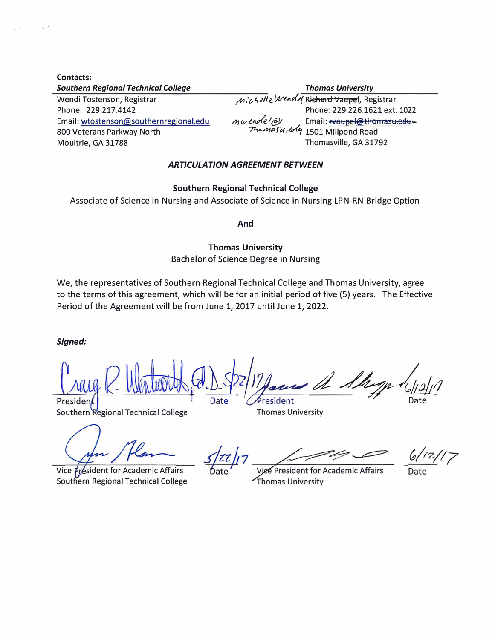| <b>Thomas University</b>                                                                              |
|-------------------------------------------------------------------------------------------------------|
| Michelle Wendel Richard Vaupel, Registrar                                                             |
| Phone: 229.226.1621 ext. 1022                                                                         |
| Email: <b>evaupel@thomasu:edu</b> -                                                                   |
| m <i>wendel@</i> / Email: <u><del>waupel@tnomras</del></u><br>74c <i>maSu. A</i> q 1501 Millpond Road |
| Thomasville, GA 31792                                                                                 |
|                                                                                                       |

## *ARTICULATION AGREEMENT BETWEEN*

#### **Southern Regional Technical College**

Associate of Science in Nursing and Associate of Science in Nursing LPN-RN Bridge Option

**And** 

**Thomas University** 

# Bachelor of Science Degree in Nursing

We, the representatives of Southern Regional Technical College and Thomas University, agree to the terms of this agreement, which will be for an initial period of five (5) years. The Effective Period of the Agreement will be from June 1, 2017 until June 1, 2022.

*Signed:* 

**Allege R. Workerstrand Commenced Allege (1)** 

Vice Président for Academic Affairs Southern Regional Technical College

Viee President for Academic Affairs Thomas University

Date

Thomas University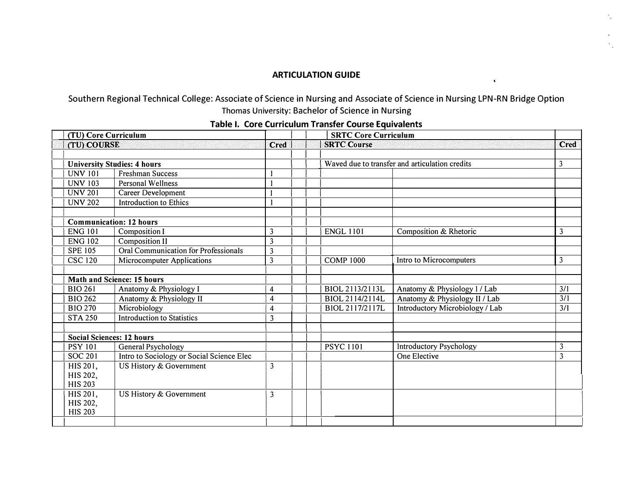## **ARTICULATION GUIDE**

 $\cdot$ 

# Southern Regional Technical College: Associate of Science in Nursing and Associate of Science in Nursing LPN-RN Bridge Option Thomas University: Bachelor of Science in Nursing

| (TU) Core Curriculum |                                    |                                           |                         | <b>SRTC Core Curriculum</b>                    |                                 |                |
|----------------------|------------------------------------|-------------------------------------------|-------------------------|------------------------------------------------|---------------------------------|----------------|
| (TU) COURSE          |                                    |                                           | <b>Cred</b>             | <b>SRTC Course</b>                             | <b>Cred</b>                     |                |
|                      | <b>University Studies: 4 hours</b> |                                           |                         | Waved due to transfer and articulation credits |                                 | 3              |
|                      | <b>UNV 101</b>                     | <b>Freshman Success</b>                   |                         |                                                |                                 |                |
|                      | <b>UNV 103</b>                     | <b>Personal Wellness</b>                  |                         |                                                |                                 |                |
|                      | <b>UNV 201</b>                     | Career Development                        |                         |                                                |                                 |                |
|                      | <b>UNV 202</b>                     | <b>Introduction to Ethics</b>             |                         |                                                |                                 |                |
|                      |                                    | <b>Communication: 12 hours</b>            |                         |                                                |                                 |                |
|                      | <b>ENG 101</b>                     | <b>Composition I</b>                      | 3                       | <b>ENGL 1101</b>                               | Composition & Rhetoric          | 3              |
|                      | <b>ENG 102</b>                     | <b>Composition II</b>                     | $\overline{\mathbf{3}}$ |                                                |                                 |                |
|                      | <b>SPE 105</b>                     | Oral Communication for Professionals      | 3                       |                                                |                                 |                |
|                      | <b>CSC 120</b>                     | <b>Microcomputer Applications</b>         | $\overline{\mathbf{3}}$ | <b>COMP 1000</b>                               | Intro to Microcomputers         | $\mathfrak{Z}$ |
|                      |                                    |                                           |                         |                                                |                                 |                |
|                      |                                    | Math and Science: 15 hours                |                         |                                                |                                 |                |
|                      | <b>BIO 261</b>                     | Anatomy & Physiology I                    | 4                       | BIOL 2113/2113L                                | Anatomy & Physiology I / Lab    | 3/1            |
|                      | <b>BIO 262</b>                     | Anatomy & Physiology II                   | 4                       | BIOL 2114/2114L                                | Anatomy & Physiology II / Lab   | 3/1            |
|                      | <b>BIO 270</b>                     | Microbiology                              | 4                       | BIOL 2117/2117L                                | Introductory Microbiology / Lab | 3/1            |
|                      | <b>STA 250</b>                     | <b>Introduction to Statistics</b>         | 3                       |                                                |                                 |                |
|                      |                                    | <b>Social Sciences: 12 hours</b>          |                         |                                                |                                 |                |
|                      | <b>PSY 101</b>                     | General Psychology                        |                         | <b>PSYC 1101</b>                               | <b>Introductory Psychology</b>  | 3              |
|                      | <b>SOC 201</b>                     | Intro to Sociology or Social Science Elec |                         |                                                | One Elective                    | $\overline{3}$ |
|                      | HIS 201,                           | US History & Government                   | 3                       |                                                |                                 |                |
|                      | HIS 202,                           |                                           |                         |                                                |                                 |                |
|                      | <b>HIS 203</b>                     |                                           |                         |                                                |                                 |                |
|                      | HIS 201,                           | US History & Government                   | 3                       |                                                |                                 |                |
|                      | HIS 202,                           |                                           |                         |                                                |                                 |                |
|                      | <b>HIS 203</b>                     |                                           |                         |                                                |                                 |                |
|                      |                                    |                                           |                         |                                                |                                 |                |

# **Table I. Core Curriculum Transfer Course Equivalents**